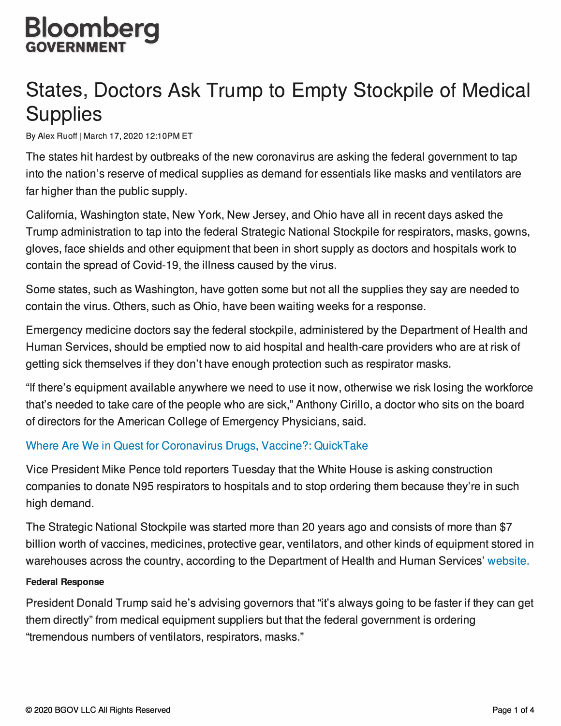### **Bloomberg GOVERNMENT**

## **States, Doctors Ask Trump to Empty Stockpile of Medical Supplies**

By Alex Ruoff | March 17, 2020 12:10 PM ET

The states hit hardest by outbreaks of the new coronavirus are asking the federal government to tap into the nation's reserve of medical supplies as demand for essentials like masks and ventilators are far higher than the public supply.

California, Washington state, New York, New Jersey, and Ohio have all in recent days asked the Trump administration to tap into the federal Strategic National Stockpile for respirators, masks, gowns, gloves, face shields and other equipment that been in short supply as doctors and hospitals work to contain the spread of Covid-19, the illness caused by the virus.

Some states, such as Washington, have gotten some but not all the supplies they say are needed to contain the virus. Others, such as Ohio, have been waiting weeks for a response.

Emergency medicine doctors say the federal stockpile, administered by the Department of Health and Human Services, should be emptied now to aid hospital and health-care providers who are at risk of getting sick themselves if they don't have enough protection such as respirator masks.

"If there's equipment available anywhere we need to use it now, otherwise we risk losing the workforce that's needed to take care of the people who are sick," Anthony Cirillo, a doctor who sits on the board of directors for the American College of Emergency Physicians, said.

#### Where Are We in Quest for Coronavirus Drugs, Vaccine?: QuickTake

Vice President Mike Pence told reporters Tuesday that the White House is asking construction companies to donate N95 respirators to hospitals and to stop ordering them because they're in such high demand.

The Strategic National Stockpile was started more than 20 years ago and consists of more than \$7 billion worth of vaccines, medicines, protective gear, ventilators, and other kinds of equipment stored in warehouses across the country, according to the Department of Health and Human Services' website.

#### **Federal Response**

President Donald Trump said he's advising governors that "it's always going to be faster if they can get them directly" from medical equipment suppliers but that the federal government is ordering "tremendous numbers of ventilators, respirators, masks."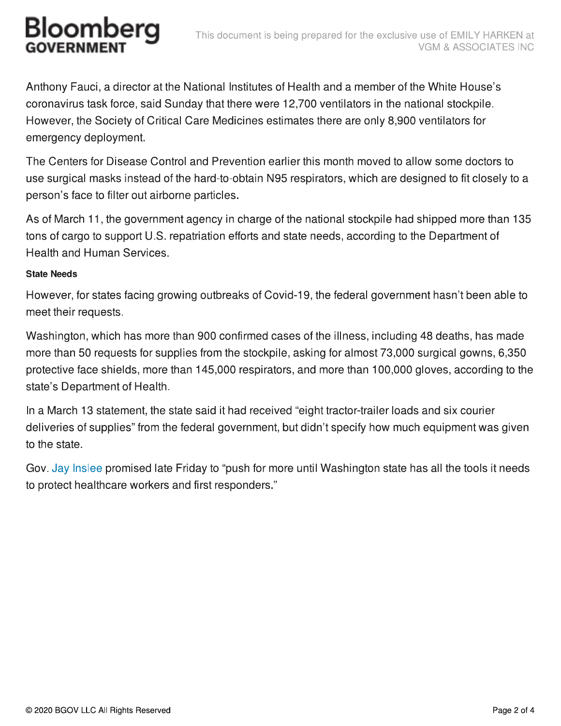# Bloomberg

Anthony Fauci, a director at the National Institutes of Health and a member of the White House's coronavirus task force, said Sunday that there were 12,700 ventilators in the national stockpile. However, the Society of Critical Care Medicines estimates there are only 8,900 ventilators for emergency deployment.

The Centers for Disease Control and Prevention earlier this month moved to allow some doctors to use surgical masks instead of the hard-to-obtain N95 respirators, which are designed to fit closely to a person's face to filter out airborne particles.

As of March 11, the government agency in charge of the national stockpile had shipped more than 135 tons of cargo to support U.S. repatriation efforts and state needs, according to the Department of Health and Human Services.

#### **State Needs**

However, for states facing growing outbreaks of Covid-19, the federal government hasn't been able to meet their requests.

Washington, which has more than 900 confirmed cases of the illness, including 48 deaths, has made more than 50 requests for supplies from the stockpile, asking for almost 73,000 surgical gowns, 6,350 protective face shields, more than 145,000 respirators, and more than 100,000 gloves, according to the state's Department of Health.

In a March 13 statement, the state said it had received "eight tractor-trailer loads and six courier deliveries of supplies" from the federal government, but didn't specify how much equipment was given to the state.

Gov. Jay Inslee promised late Friday to "push for more until Washington state has all the tools it needs to protect healthcare workers and first responders."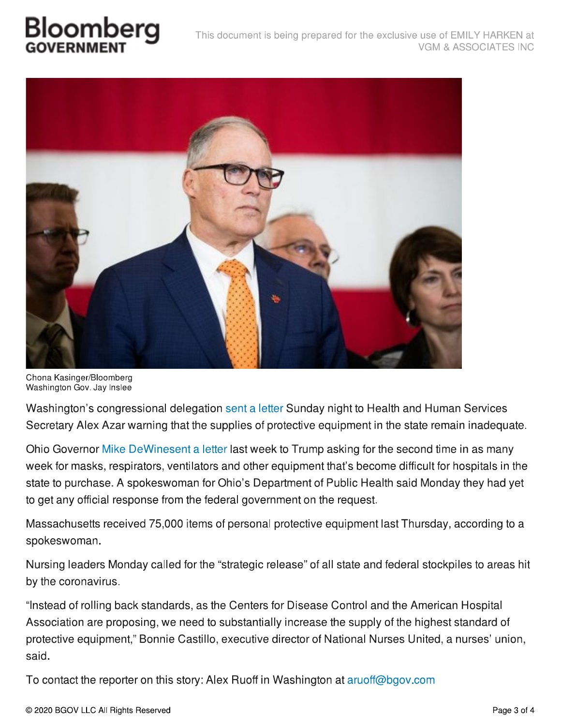## Bloomber



Chona Kasinger/Bloomberg Washington Gov. Jay Inslee

Washington's congressional delegation sent a letter Sunday night to Health and Human Services Secretary Alex Azar warning that the supplies of protective equipment in the state remain inadequate.

Ohio Governor Mike DeWinesent a letter last week to Trump asking for the second time in as many week for masks, respirators, ventilators and other equipment that's become difficult for hospitals in the state to purchase. A spokeswoman for Ohio's Department of Public Health said Monday they had yet to get any official response from the federal government on the request.

Massachusetts received 75,000 items of personal protective equipment last Thursday, according to a spokeswoman.

Nursing leaders Monday called for the "strategic release" of all state and federal stockpiles to areas hit by the coronavirus.

"Instead of rolling back standards, as the Centers for Disease Control and the American Hospital Association are proposing, we need to substantially increase the supply of the highest standard of protective equipment," Bonnie Castillo, executive director of National Nurses United, a nurses' union, said.

To contact the reporter on this story: Alex Ruoff in Washington at aruoff@bgov.com